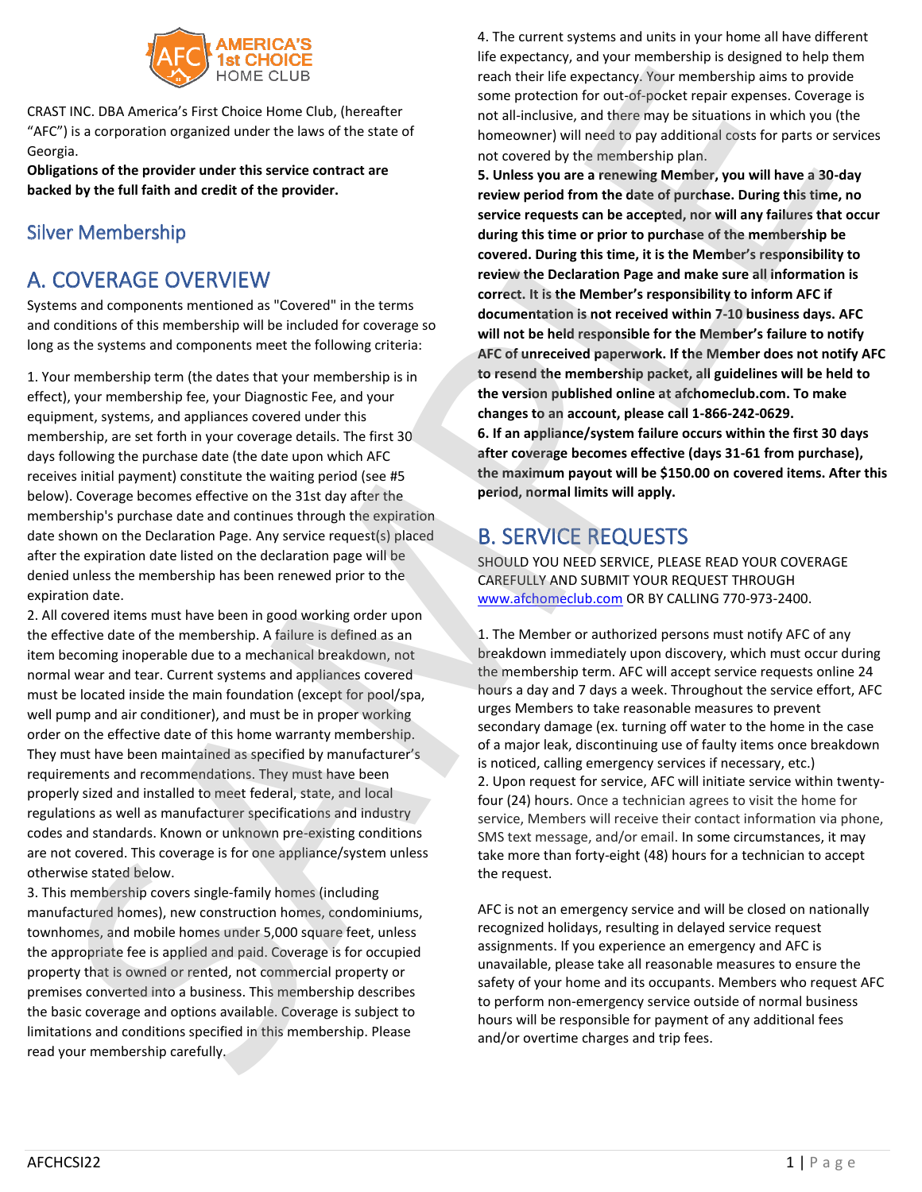

CRAST INC. DBA America's First Choice Home Club, (hereafter "AFC") is a corporation organized under the laws of the state of Georgia.

**Obligations of the provider under this service contract are backed by the full faith and credit of the provider.**

# Silver Membership

# A. COVERAGE OVERVIEW

Systems and components mentioned as "Covered" in the terms and conditions of this membership will be included for coverage so long as the systems and components meet the following criteria:

1. Your membership term (the dates that your membership is in effect), your membership fee, your Diagnostic Fee, and your equipment, systems, and appliances covered under this membership, are set forth in your coverage details. The first 30 days following the purchase date (the date upon which AFC receives initial payment) constitute the waiting period (see #5 below). Coverage becomes effective on the 31st day after the membership's purchase date and continues through the expiration date shown on the Declaration Page. Any service request(s) placed after the expiration date listed on the declaration page will be denied unless the membership has been renewed prior to the expiration date.

2. All covered items must have been in good working order upon the effective date of the membership. A failure is defined as an item becoming inoperable due to a mechanical breakdown, not normal wear and tear. Current systems and appliances covered must be located inside the main foundation (except for pool/spa, well pump and air conditioner), and must be in proper working order on the effective date of this home warranty membership. They must have been maintained as specified by manufacturer's requirements and recommendations. They must have been properly sized and installed to meet federal, state, and local regulations as well as manufacturer specifications and industry codes and standards. Known or unknown pre-existing conditions are not covered. This coverage is for one appliance/system unless otherwise stated below.

3. This membership covers single-family homes (including manufactured homes), new construction homes, condominiums, townhomes, and mobile homes under 5,000 square feet, unless the appropriate fee is applied and paid. Coverage is for occupied property that is owned or rented, not commercial property or premises converted into a business. This membership describes the basic coverage and options available. Coverage is subject to limitations and conditions specified in this membership. Please read your membership carefully.

4. The current systems and units in your home all have different life expectancy, and your membership is designed to help them reach their life expectancy. Your membership aims to provide some protection for out-of-pocket repair expenses. Coverage is not all-inclusive, and there may be situations in which you (the homeowner) will need to pay additional costs for parts or services not covered by the membership plan.

**5. Unless you are a renewing Member, you will have a 30-day review period from the date of purchase. During this time, no service requests can be accepted, nor will any failures that occur during this time or prior to purchase of the membership be covered. During this time, it is the Member's responsibility to review the Declaration Page and make sure all information is correct. It is the Member's responsibility to inform AFC if documentation is not received within 7-10 business days. AFC will not be held responsible for the Member's failure to notify AFC of unreceived paperwork. If the Member does not notify AFC to resend the membership packet, all guidelines will be held to the version published online at afchomeclub.com. To make changes to an account, please call 1-866-242-0629. 6. If an appliance/system failure occurs within the first 30 days after coverage becomes effective (days 31-61 from purchase), the maximum payout will be \$150.00 on covered items. After this period, normal limits will apply.** Note that the main of the response to the state in the state interest in the response to the response to the response to the response to the response to the response to the response to the response to the response to the

# B. SERVICE REQUESTS

SHOULD YOU NEED SERVICE, PLEASE READ YOUR COVERAGE CAREFULLY AND SUBMIT YOUR REQUEST THROUGH www.afchomeclub.com OR BY CALLING 770-973-2400.

1. The Member or authorized persons must notify AFC of any breakdown immediately upon discovery, which must occur during the membership term. AFC will accept service requests online 24 hours a day and 7 days a week. Throughout the service effort, AFC urges Members to take reasonable measures to prevent secondary damage (ex. turning off water to the home in the case of a major leak, discontinuing use of faulty items once breakdown is noticed, calling emergency services if necessary, etc.) 2. Upon request for service, AFC will initiate service within twentyfour (24) hours. Once a technician agrees to visit the home for service, Members will receive their contact information via phone, SMS text message, and/or email. In some circumstances, it may take more than forty-eight (48) hours for a technician to accept the request.

AFC is not an emergency service and will be closed on nationally recognized holidays, resulting in delayed service request assignments. If you experience an emergency and AFC is unavailable, please take all reasonable measures to ensure the safety of your home and its occupants. Members who request AFC to perform non-emergency service outside of normal business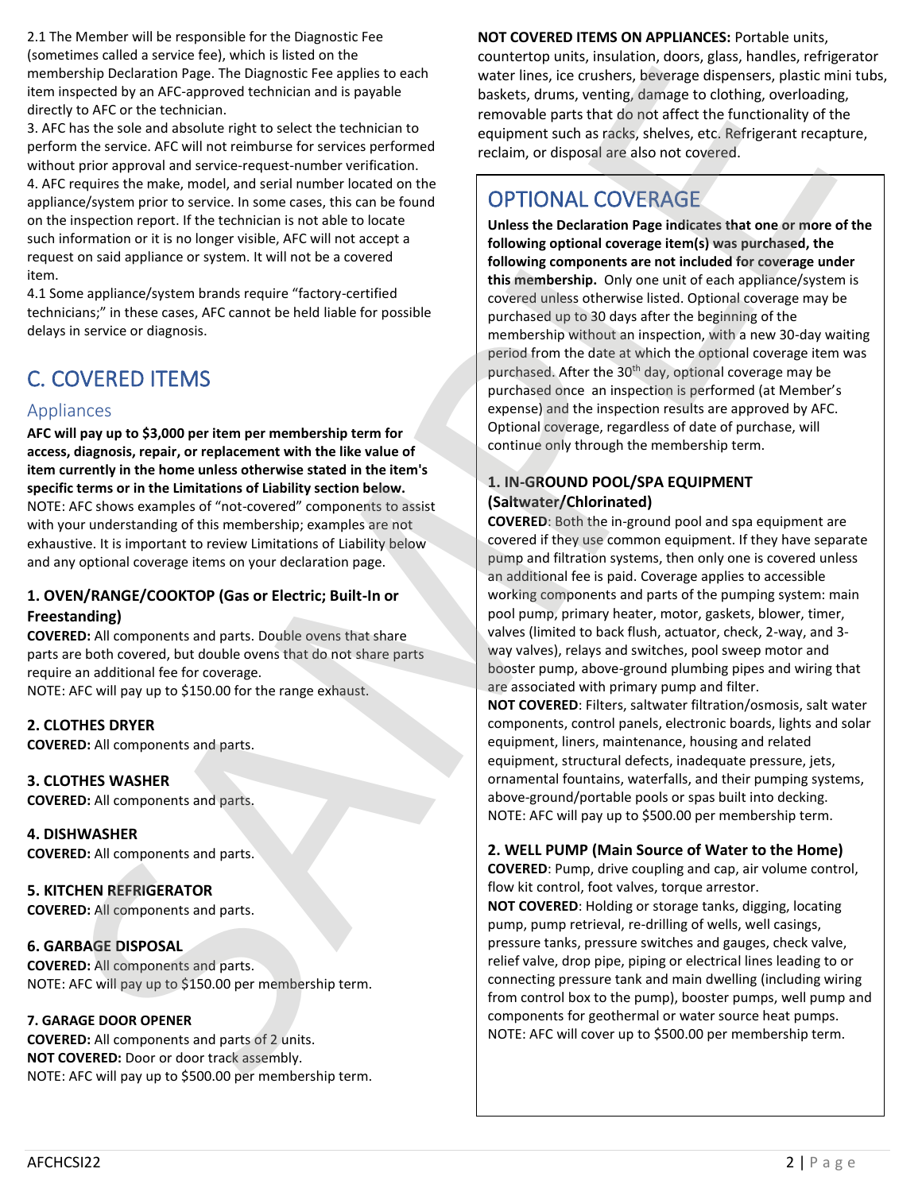2.1 The Member will be responsible for the Diagnostic Fee (sometimes called a service fee), which is listed on the membership Declaration Page. The Diagnostic Fee applies to each item inspected by an AFC-approved technician and is payable directly to AFC or the technician.

3. AFC has the sole and absolute right to select the technician to perform the service. AFC will not reimburse for services performed without prior approval and service-request-number verification. 4. AFC requires the make, model, and serial number located on the appliance/system prior to service. In some cases, this can be found on the inspection report. If the technician is not able to locate such information or it is no longer visible, AFC will not accept a request on said appliance or system. It will not be a covered item.

4.1 Some appliance/system brands require "factory-certified technicians;" in these cases, AFC cannot be held liable for possible delays in service or diagnosis.

# C. COVERED ITEMS

# Appliances

**AFC will pay up to \$3,000 per item per membership term for access, diagnosis, repair, or replacement with the like value of item currently in the home unless otherwise stated in the item's specific terms or in the Limitations of Liability section below.** NOTE: AFC shows examples of "not-covered" components to assist with your understanding of this membership; examples are not exhaustive. It is important to review Limitations of Liability below and any optional coverage items on your declaration page.

#### **1. OVEN/RANGE/COOKTOP (Gas or Electric; Built-In or Freestanding)**

**COVERED:** All components and parts. Double ovens that share parts are both covered, but double ovens that do not share parts require an additional fee for coverage. NOTE: AFC will pay up to \$150.00 for the range exhaust.

**2. CLOTHES DRYER COVERED:** All components and parts.

**3. CLOTHES WASHER COVERED:** All components and parts.

**4. DISHWASHER COVERED:** All components and parts.

**5. KITCHEN REFRIGERATOR COVERED:** All components and parts.

**6. GARBAGE DISPOSAL COVERED:** All components and parts. NOTE: AFC will pay up to \$150.00 per membership term.

#### **7. GARAGE DOOR OPENER**

**COVERED:** All components and parts of 2 units. **NOT COVERED:** Door or door track assembly. NOTE: AFC will pay up to \$500.00 per membership term.

**NOT COVERED ITEMS ON APPLIANCES:** Portable units, countertop units, insulation, doors, glass, handles, refrigerator water lines, ice crushers, beverage dispensers, plastic mini tubs, baskets, drums, venting, damage to clothing, overloading, removable parts that do not affect the functionality of the equipment such as racks, shelves, etc. Refrigerant recapture, reclaim, or disposal are also not covered.

# OPTIONAL COVERAGE

**Unless the Declaration Page indicates that one or more of the following optional coverage item(s) was purchased, the following components are not included for coverage under this membership.** Only one unit of each appliance/system is covered unless otherwise listed. Optional coverage may be purchased up to 30 days after the beginning of the membership without an inspection, with a new 30-day waiting period from the date at which the optional coverage item was purchased. After the 30<sup>th</sup> day, optional coverage may be purchased once an inspection is performed (at Member's expense) and the inspection results are approved by AFC. Optional coverage, regardless of date of purchase, will continue only through the membership term. continue to the control of the control of the source heat in the control or the control or the control or the control of the control or the control of the control of the control or the control of the control of the contro She that the most interest in the spinter location of the most interest into the most interest into the most interest into the most interest into the most interest into the most interest into the most interest into the mo

#### **1. IN-GROUND POOL/SPA EQUIPMENT (Saltwater/Chlorinated)**

**COVERED**: Both the in-ground pool and spa equipment are covered if they use common equipment. If they have separate pump and filtration systems, then only one is covered unless an additional fee is paid. Coverage applies to accessible working components and parts of the pumping system: main pool pump, primary heater, motor, gaskets, blower, timer, valves (limited to back flush, actuator, check, 2-way, and 3 way valves), relays and switches, pool sweep motor and booster pump, above-ground plumbing pipes and wiring that are associated with primary pump and filter.

**NOT COVERED**: Filters, saltwater filtration/osmosis, salt water components, control panels, electronic boards, lights and solar equipment, liners, maintenance, housing and related equipment, structural defects, inadequate pressure, jets, ornamental fountains, waterfalls, and their pumping systems, above-ground/portable pools or spas built into decking. NOTE: AFC will pay up to \$500.00 per membership term.

#### **2. WELL PUMP (Main Source of Water to the Home)**

**COVERED**: Pump, drive coupling and cap, air volume control, flow kit control, foot valves, torque arrestor.

**NOT COVERED**: Holding or storage tanks, digging, locating pump, pump retrieval, re-drilling of wells, well casings, pressure tanks, pressure switches and gauges, check valve, relief valve, drop pipe, piping or electrical lines leading to or connecting pressure tank and main dwelling (including wiring from control box to the pump), booster pumps, well pump and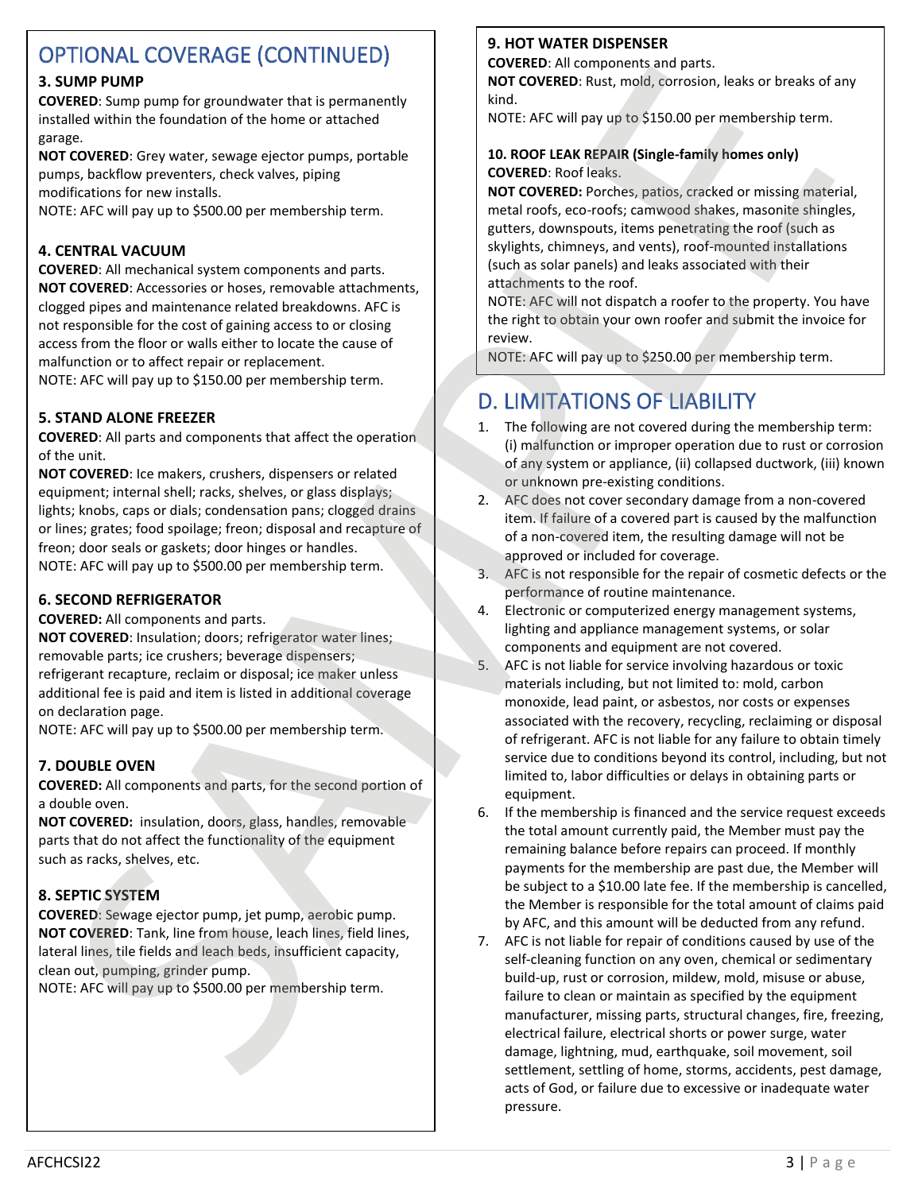# OPTIONAL COVERAGE (CONTINUED)

#### **3. SUMP PUMP**

**COVERED**: Sump pump for groundwater that is permanently installed within the foundation of the home or attached garage.

**NOT COVERED**: Grey water, sewage ejector pumps, portable pumps, backflow preventers, check valves, piping modifications for new installs.

NOTE: AFC will pay up to \$500.00 per membership term.

#### **4. CENTRAL VACUUM**

**COVERED**: All mechanical system components and parts. **NOT COVERED**: Accessories or hoses, removable attachments, clogged pipes and maintenance related breakdowns. AFC is not responsible for the cost of gaining access to or closing access from the floor or walls either to locate the cause of malfunction or to affect repair or replacement.

NOTE: AFC will pay up to \$150.00 per membership term.

#### **5. STAND ALONE FREEZER**

**COVERED**: All parts and components that affect the operation of the unit.

**NOT COVERED**: Ice makers, crushers, dispensers or related equipment; internal shell; racks, shelves, or glass displays; lights; knobs, caps or dials; condensation pans; clogged drains or lines; grates; food spoilage; freon; disposal and recapture of freon; door seals or gaskets; door hinges or handles. NOTE: AFC will pay up to \$500.00 per membership term.

#### **6. SECOND REFRIGERATOR**

**COVERED:** All components and parts. **NOT COVERED**: Insulation; doors; refrigerator water lines; removable parts; ice crushers; beverage dispensers; refrigerant recapture, reclaim or disposal; ice maker unless additional fee is paid and item is listed in additional coverage on declaration page.

NOTE: AFC will pay up to \$500.00 per membership term.

## **7. DOUBLE OVEN**

**COVERED:** All components and parts, for the second portion of a double oven.

**NOT COVERED:** insulation, doors, glass, handles, removable parts that do not affect the functionality of the equipment such as racks, shelves, etc.

#### **8. SEPTIC SYSTEM**

**COVERED**: Sewage ejector pump, jet pump, aerobic pump. **NOT COVERED**: Tank, line from house, leach lines, field lines, lateral lines, tile fields and leach beds, insufficient capacity, clean out, pumping, grinder pump.

NOTE: AFC will pay up to \$500.00 per membership term.

## **9. HOT WATER DISPENSER**

**COVERED**: All components and parts.

**NOT COVERED**: Rust, mold, corrosion, leaks or breaks of any kind.

NOTE: AFC will pay up to \$150.00 per membership term.

#### **10. ROOF LEAK REPAIR (Single-family homes only) COVERED**: Roof leaks.

**NOT COVERED:** Porches, patios, cracked or missing material, metal roofs, eco-roofs; camwood shakes, masonite shingles, gutters, downspouts, items penetrating the roof (such as skylights, chimneys, and vents), roof-mounted installations (such as solar panels) and leaks associated with their attachments to the roof.

NOTE: AFC will not dispatch a roofer to the property. You have the right to obtain your own roofer and submit the invoice for review.

# D. LIMITATIONS OF LIABILITY

- 1. The following are not covered during the membership term: (i) malfunction or improper operation due to rust or corrosion of any system or appliance, (ii) collapsed ductwork, (iii) known or unknown pre-existing conditions.
- 2. AFC does not cover secondary damage from a non-covered item. If failure of a covered part is caused by the malfunction of a non-covered item, the resulting damage will not be approved or included for coverage.
- 3. AFC is not responsible for the repair of cosmetic defects or the performance of routine maintenance.
- 4. Electronic or computerized energy management systems, lighting and appliance management systems, or solar components and equipment are not covered.
- 5. AFC is not liable for service involving hazardous or toxic materials including, but not limited to: mold, carbon monoxide, lead paint, or asbestos, nor costs or expenses associated with the recovery, recycling, reclaiming or disposal of refrigerant. AFC is not liable for any failure to obtain timely service due to conditions beyond its control, including, but not limited to, labor difficulties or delays in obtaining parts or equipment.
- 6. If the membership is financed and the service request exceeds the total amount currently paid, the Member must pay the remaining balance before repairs can proceed. If monthly payments for the membership are past due, the Member will be subject to a \$10.00 late fee. If the membership is cancelled, the Member is responsible for the total amount of claims paid by AFC, and this amount will be deducted from any refund.
- 7. AFC is not liable for repair of conditions caused by use of the self-cleaning function on any oven, chemical or sedimentary build-up, rust or corrosion, mildew, mold, misuse or abuse, failure to clean or maintain as specified by the equipment manufacturer, missing parts, structural changes, fire, freezing, electrical failure, electrical shorts or power surge, water damage, lightning, mud, earthquake, soil movement, soil settlement, settling of home, storms, accidents, pest damage, acts of God, or failure due to excessive or inadequate water pressure. S. SAMP PUMP ENTRIL AND INTERFERIT IN CONTROL ASSESS TO A CONTROL ASSESS TO A CONTROL AND THE CONTROL ASSESS TO A CONTROL AND THE CONTROL ASSESS TO A CONTROL ASSESS TO A CONTROL ASSESS TO A CONTROL ASSESS TO A CONTROL ASS UNRE PLANE TOWER PLANE IN COVERT CONTENT IN CONTENT AND A CONTENT AND A CONTENT AND A CONTENT AND A CONTENT AND A CONTENT AND A CONTENT AND A CONTENT AND A CONTENT AND CONTENT AND CONTENT AND CONTENT AND A CONTENT AND A C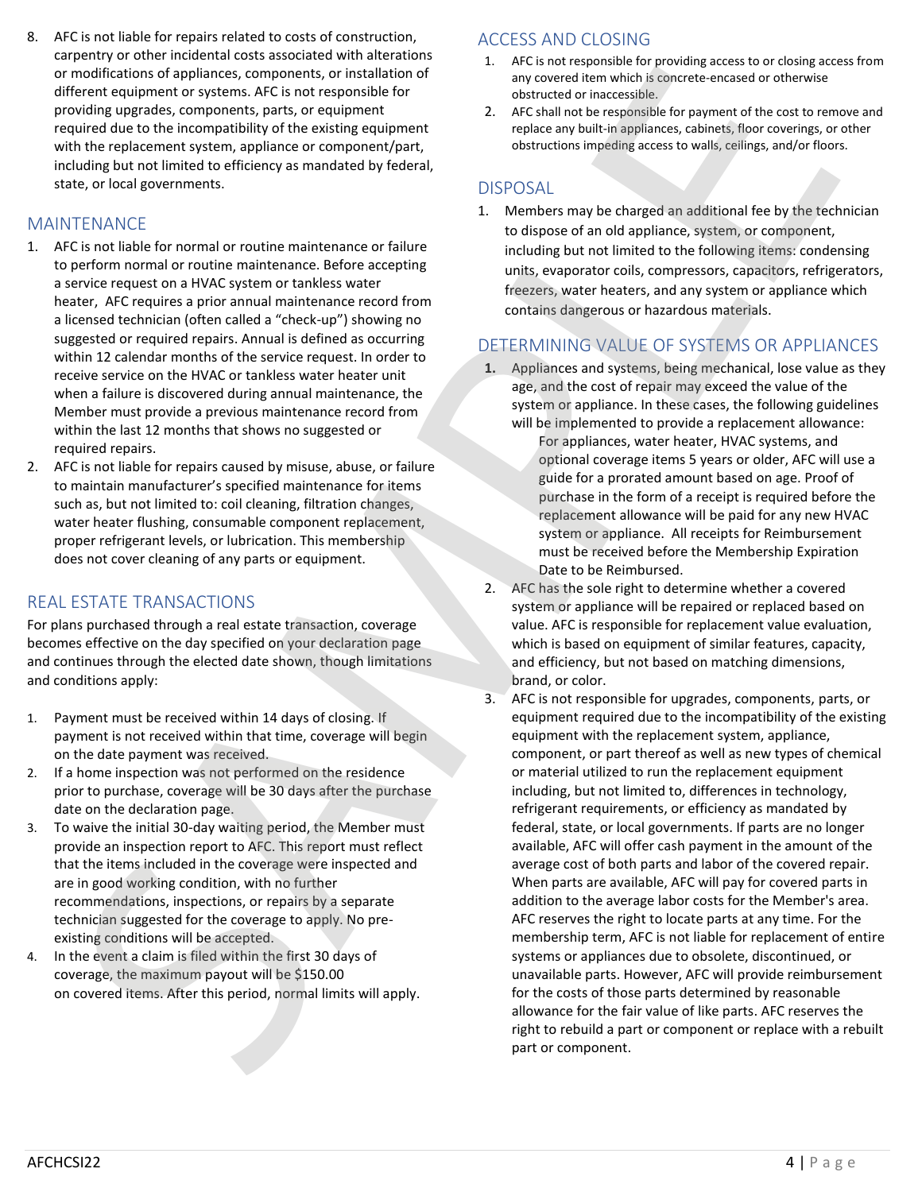8. AFC is not liable for repairs related to costs of construction, carpentry or other incidental costs associated with alterations or modifications of appliances, components, or installation of different equipment or systems. AFC is not responsible for providing upgrades, components, parts, or equipment required due to the incompatibility of the existing equipment with the replacement system, appliance or component/part, including but not limited to efficiency as mandated by federal, state, or local governments.

## MAINTENANCE

- 1. AFC is not liable for normal or routine maintenance or failure to perform normal or routine maintenance. Before accepting a service request on a HVAC system or tankless water heater, AFC requires a prior annual maintenance record from a licensed technician (often called a "check-up") showing no suggested or required repairs. Annual is defined as occurring within 12 calendar months of the service request. In order to receive service on the HVAC or tankless water heater unit when a failure is discovered during annual maintenance, the Member must provide a previous maintenance record from within the last 12 months that shows no suggested or required repairs.
- 2. AFC is not liable for repairs caused by misuse, abuse, or failure to maintain manufacturer's specified maintenance for items such as, but not limited to: coil cleaning, filtration changes, water heater flushing, consumable component replacement, proper refrigerant levels, or lubrication. This membership does not cover cleaning of any parts or equipment.

# REAL ESTATE TRANSACTIONS

For plans purchased through a real estate transaction, coverage becomes effective on the day specified on your declaration page and continues through the elected date shown, though limitations and conditions apply:

- 1. Payment must be received within 14 days of closing. If payment is not received within that time, coverage will begin on the date payment was received.
- 2. If a home inspection was not performed on the residence prior to purchase, coverage will be 30 days after the purchase date on the declaration page.
- 3. To waive the initial 30-day waiting period, the Member must provide an inspection report to AFC. This report must reflect that the items included in the coverage were inspected and are in good working condition, with no further recommendations, inspections, or repairs by a separate technician suggested for the coverage to apply. No preexisting conditions will be accepted.
- 4. In the event a claim is filed within the first 30 days of coverage, the maximum payout will be \$150.00 on covered items. After this period, normal limits will apply.

## ACCESS AND CLOSING

- 1. AFC is not responsible for providing access to or closing access from any covered item which is concrete-encased or otherwise obstructed or inaccessible.
- 2. AFC shall not be responsible for payment of the cost to remove and replace any built-in appliances, cabinets, floor coverings, or other obstructions impeding access to walls, ceilings, and/or floors.

#### DISPOSAL

1. Members may be charged an additional fee by the technician to dispose of an old appliance, system, or component, including but not limited to the following items: condensing units, evaporator coils, compressors, capacitors, refrigerators, freezers, water heaters, and any system or appliance which contains dangerous or hazardous materials.

## DETERMINING VALUE OF SYSTEMS OR APPLIANCES

- **1.** Appliances and systems, being mechanical, lose value as they age, and the cost of repair may exceed the value of the system or appliance. In these cases, the following guidelines will be implemented to provide a replacement allowance:
	- For appliances, water heater, HVAC systems, and optional coverage items 5 years or older, AFC will use a guide for a prorated amount based on age. Proof of purchase in the form of a receipt is required before the replacement allowance will be paid for any new HVAC system or appliance. All receipts for Reimbursement must be received before the Membership Expiration Date to be Reimbursed.
- 2. AFC has the sole right to determine whether a covered system or appliance will be repaired or replaced based on value. AFC is responsible for replacement value evaluation, which is based on equipment of similar features, capacity, and efficiency, but not based on matching dimensions, brand, or color.
- 3. AFC is not responsible for upgrades, components, parts, or equipment required due to the incompatibility of the existing equipment with the replacement system, appliance, component, or part thereof as well as new types of chemical or material utilized to run the replacement equipment including, but not limited to, differences in technology, refrigerant requirements, or efficiency as mandated by federal, state, or local governments. If parts are no longer available, AFC will offer cash payment in the amount of the average cost of both parts and labor of the covered repair. When parts are available, AFC will pay for covered parts in addition to the average labor costs for the Member's area. AFC reserves the right to locate parts at any time. For the membership term, AFC is not liable for replacement of entire systems or appliances due to obsolete, discontinued, or unavailable parts. However, AFC will provide reimbursement for the costs of those parts determined by reasonable allowance for the fair value of like parts. AFC reserves the o or noticely to relation the proposed or interaction of the second or noticely to relation the right of the right of the right of the right of the right of the right of the right of the right of the right of the right modification of application, constants, or modification of the constant of the constant of the particles of the constant of the constant of the constant of the constant of the constant of the constant of the constant of t part or component.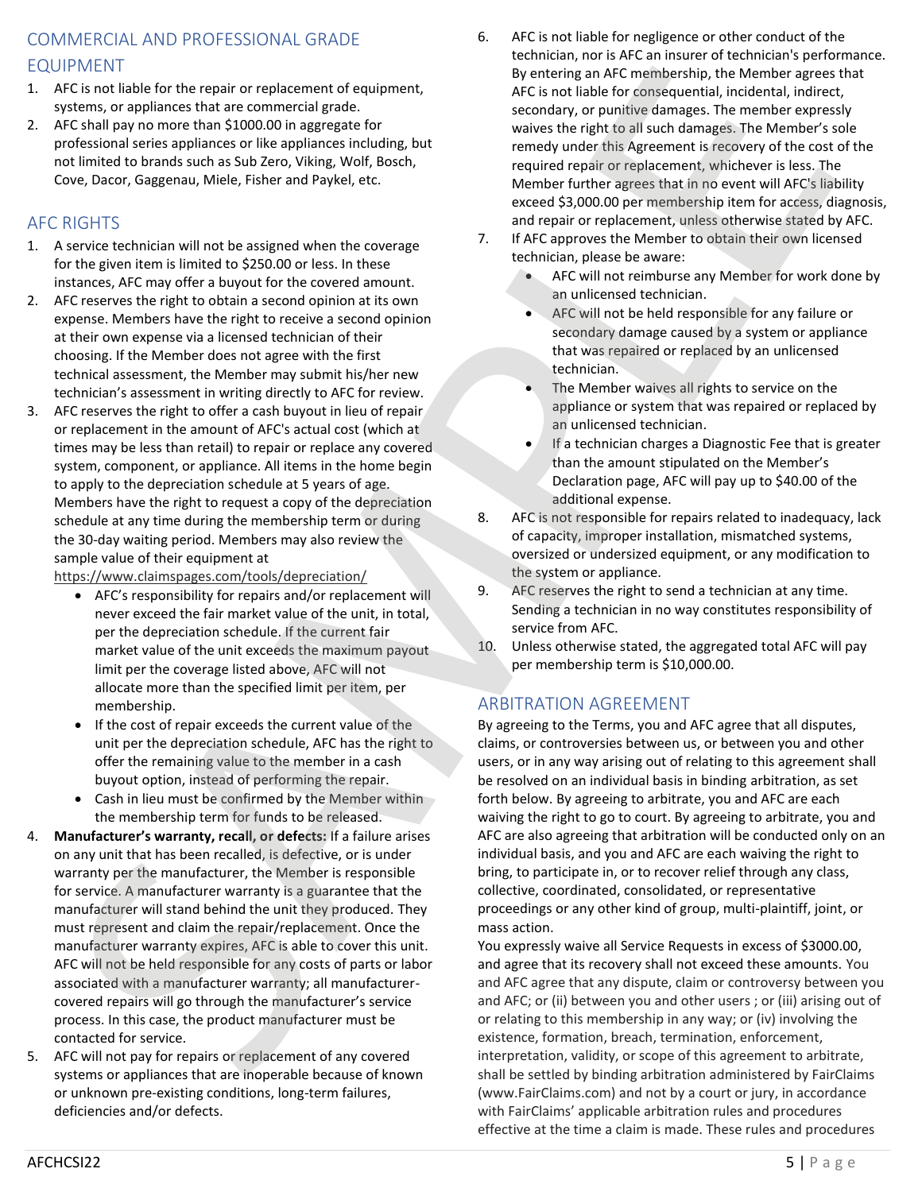# COMMERCIAL AND PROFESSIONAL GRADE EQUIPMENT

- 1. AFC is not liable for the repair or replacement of equipment, systems, or appliances that are commercial grade.
- 2. AFC shall pay no more than \$1000.00 in aggregate for professional series appliances or like appliances including, but not limited to brands such as Sub Zero, Viking, Wolf, Bosch, Cove, Dacor, Gaggenau, Miele, Fisher and Paykel, etc.

# AFC RIGHTS

- 1. A service technician will not be assigned when the coverage for the given item is limited to \$250.00 or less. In these instances, AFC may offer a buyout for the covered amount.
- 2. AFC reserves the right to obtain a second opinion at its own expense. Members have the right to receive a second opinion at their own expense via a licensed technician of their choosing. If the Member does not agree with the first technical assessment, the Member may submit his/her new technician's assessment in writing directly to AFC for review.
- 3. AFC reserves the right to offer a cash buyout in lieu of repair or replacement in the amount of AFC's actual cost (which at times may be less than retail) to repair or replace any covered system, component, or appliance. All items in the home begin to apply to the depreciation schedule at 5 years of age. Members have the right to request a copy of the depreciation schedule at any time during the membership term or during the 30-day waiting period. Members may also review the sample value of their equipment at

https://www.claimspages.com/tools/depreciation/

- AFC's responsibility for repairs and/or replacement will never exceed the fair market value of the unit, in total, per the depreciation schedule. If the current fair market value of the unit exceeds the maximum payout limit per the coverage listed above, AFC will not allocate more than the specified limit per item, per membership.
- If the cost of repair exceeds the current value of the unit per the depreciation schedule, AFC has the right to offer the remaining value to the member in a cash buyout option, instead of performing the repair.
- Cash in lieu must be confirmed by the Member within the membership term for funds to be released.
- 4. **Manufacturer's warranty, recall, or defects:** If a failure arises on any unit that has been recalled, is defective, or is under warranty per the manufacturer, the Member is responsible for service. A manufacturer warranty is a guarantee that the manufacturer will stand behind the unit they produced. They must represent and claim the repair/replacement. Once the manufacturer warranty expires, AFC is able to cover this unit. AFC will not be held responsible for any costs of parts or labor associated with a manufacturer warranty; all manufacturercovered repairs will go through the manufacturer's service process. In this case, the product manufacturer must be contacted for service. For the temperature of equivalent entropy and account to the formula methods are not the temperature of the temperature of the temperature of the temperature of the temperature of the temperature of the temperature of the
- 5. AFC will not pay for repairs or replacement of any covered systems or appliances that are inoperable because of known or unknown pre-existing conditions, long-term failures, deficiencies and/or defects.
- 6. AFC is not liable for negligence or other conduct of the technician, nor is AFC an insurer of technician's performance. By entering an AFC membership, the Member agrees that AFC is not liable for consequential, incidental, indirect, secondary, or punitive damages. The member expressly waives the right to all such damages. The Member's sole remedy under this Agreement is recovery of the cost of the required repair or replacement, whichever is less. The Member further agrees that in no event will AFC's liability exceed \$3,000.00 per membership item for access, diagnosis, and repair or replacement, unless otherwise stated by AFC.
- 7. If AFC approves the Member to obtain their own licensed technician, please be aware:
	- AFC will not reimburse any Member for work done by an unlicensed technician.
	- AFC will not be held responsible for any failure or secondary damage caused by a system or appliance that was repaired or replaced by an unlicensed technician.
	- The Member waives all rights to service on the appliance or system that was repaired or replaced by an unlicensed technician.
	- If a technician charges a Diagnostic Fee that is greater than the amount stipulated on the Member's Declaration page, AFC will pay up to \$40.00 of the additional expense.
- 8. AFC is not responsible for repairs related to inadequacy, lack of capacity, improper installation, mismatched systems, oversized or undersized equipment, or any modification to the system or appliance.
- 9. AFC reserves the right to send a technician at any time. Sending a technician in no way constitutes responsibility of service from AFC.
- 10. Unless otherwise stated, the aggregated total AFC will pay per membership term is \$10,000.00.

# ARBITRATION AGREEMENT

By agreeing to the Terms, you and AFC agree that all disputes, claims, or controversies between us, or between you and other users, or in any way arising out of relating to this agreement shall be resolved on an individual basis in binding arbitration, as set forth below. By agreeing to arbitrate, you and AFC are each waiving the right to go to court. By agreeing to arbitrate, you and AFC are also agreeing that arbitration will be conducted only on an individual basis, and you and AFC are each waiving the right to bring, to participate in, or to recover relief through any class, collective, coordinated, consolidated, or representative proceedings or any other kind of group, multi-plaintiff, joint, or mass action.

You expressly waive all Service Requests in excess of \$3000.00, and agree that its recovery shall not exceed these amounts. You and AFC agree that any dispute, claim or controversy between you and AFC; or (ii) between you and other users ; or (iii) arising out of or relating to this membership in any way; or (iv) involving the existence, formation, breach, termination, enforcement, interpretation, validity, or scope of this agreement to arbitrate, shall be settled by binding arbitration administered by FairClaims (www.FairClaims.com) and not by a court or jury, in accordance with FairClaims' applicable arbitration rules and procedures effective at the time a claim is made. These rules and procedures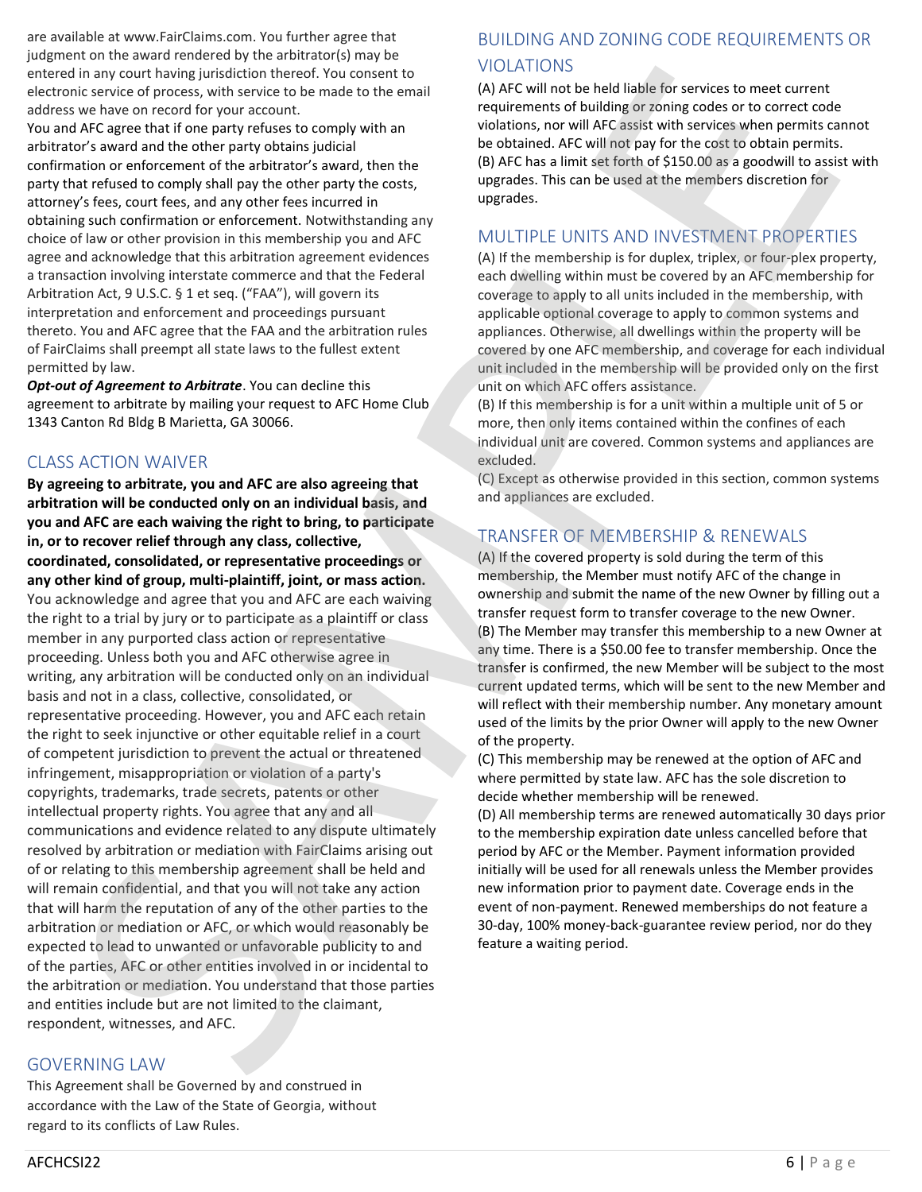are available at www.FairClaims.com. You further agree that judgment on the award rendered by the arbitrator(s) may be entered in any court having jurisdiction thereof. You consent to electronic service of process, with service to be made to the email address we have on record for your account.

You and AFC agree that if one party refuses to comply with an arbitrator's award and the other party obtains judicial confirmation or enforcement of the arbitrator's award, then the party that refused to comply shall pay the other party the costs, attorney's fees, court fees, and any other fees incurred in obtaining such confirmation or enforcement. Notwithstanding any choice of law or other provision in this membership you and AFC agree and acknowledge that this arbitration agreement evidences a transaction involving interstate commerce and that the Federal Arbitration Act, 9 U.S.C. § 1 et seq. ("FAA"), will govern its interpretation and enforcement and proceedings pursuant thereto. You and AFC agree that the FAA and the arbitration rules of FairClaims shall preempt all state laws to the fullest extent permitted by law.

*Opt-out of Agreement to Arbitrate*. You can decline this agreement to arbitrate by mailing your request to AFC Home Club 1343 Canton Rd Bldg B Marietta, GA 30066.

# CLASS ACTION WAIVER

**By agreeing to arbitrate, you and AFC are also agreeing that arbitration will be conducted only on an individual basis, and you and AFC are each waiving the right to bring, to participate in, or to recover relief through any class, collective, coordinated, consolidated, or representative proceedings or any other kind of group, multi-plaintiff, joint, or mass action.** You acknowledge and agree that you and AFC are each waiving the right to a trial by jury or to participate as a plaintiff or class member in any purported class action or representative proceeding. Unless both you and AFC otherwise agree in writing, any arbitration will be conducted only on an individual basis and not in a class, collective, consolidated, or representative proceeding. However, you and AFC each retain the right to seek injunctive or other equitable relief in a court of competent jurisdiction to prevent the actual or threatened infringement, misappropriation or violation of a party's copyrights, trademarks, trade secrets, patents or other intellectual property rights. You agree that any and all communications and evidence related to any dispute ultimately resolved by arbitration or mediation with FairClaims arising out of or relating to this membership agreement shall be held and will remain confidential, and that you will not take any action that will harm the reputation of any of the other parties to the arbitration or mediation or AFC, or which would reasonably be expected to lead to unwanted or unfavorable publicity to and of the parties, AFC or other entities involved in or incidental to the arbitration or mediation. You understand that those parties and entities include but are not limited to the claimant, respondent, witnesses, and AFC. enter the any count bandwig turbidical controllered. Notice controller than the period of the controller of the controller of the controller state of the controller state of the controller state of the controller state of If no my matrix the particular theorem. We consist to  $\sim 0.001 \times 10^{-10}$  MPLC in the best institute of the state of the state of the state of the state of the state of the state of the state of the state of the state of

## GOVERNING LAW

This Agreement shall be Governed by and construed in accordance with the Law of the State of Georgia, without regard to its conflicts of Law Rules.

# BUILDING AND ZONING CODE REQUIREMENTS OR VIOLATIONS

(A) AFC will not be held liable for services to meet current requirements of building or zoning codes or to correct code violations, nor will AFC assist with services when permits cannot be obtained. AFC will not pay for the cost to obtain permits. (B) AFC has a limit set forth of \$150.00 as a goodwill to assist with upgrades. This can be used at the members discretion for upgrades.

## MULTIPLE UNITS AND INVESTMENT PROPERTIES

(A) If the membership is for duplex, triplex, or four-plex property, each dwelling within must be covered by an AFC membership for coverage to apply to all units included in the membership, with applicable optional coverage to apply to common systems and appliances. Otherwise, all dwellings within the property will be covered by one AFC membership, and coverage for each individual unit included in the membership will be provided only on the first unit on which AFC offers assistance.

(B) If this membership is for a unit within a multiple unit of 5 or more, then only items contained within the confines of each individual unit are covered. Common systems and appliances are excluded.

(C) Except as otherwise provided in this section, common systems and appliances are excluded.

# TRANSFER OF MEMBERSHIP & RENEWALS

(A) If the covered property is sold during the term of this membership, the Member must notify AFC of the change in ownership and submit the name of the new Owner by filling out a transfer request form to transfer coverage to the new Owner. (B) The Member may transfer this membership to a new Owner at any time. There is a \$50.00 fee to transfer membership. Once the transfer is confirmed, the new Member will be subject to the most current updated terms, which will be sent to the new Member and will reflect with their membership number. Any monetary amount used of the limits by the prior Owner will apply to the new Owner of the property.

(C) This membership may be renewed at the option of AFC and where permitted by state law. AFC has the sole discretion to decide whether membership will be renewed.

(D) All membership terms are renewed automatically 30 days prior to the membership expiration date unless cancelled before that period by AFC or the Member. Payment information provided initially will be used for all renewals unless the Member provides new information prior to payment date. Coverage ends in the event of non-payment. Renewed memberships do not feature a 30-day, 100% money-back-guarantee review period, nor do they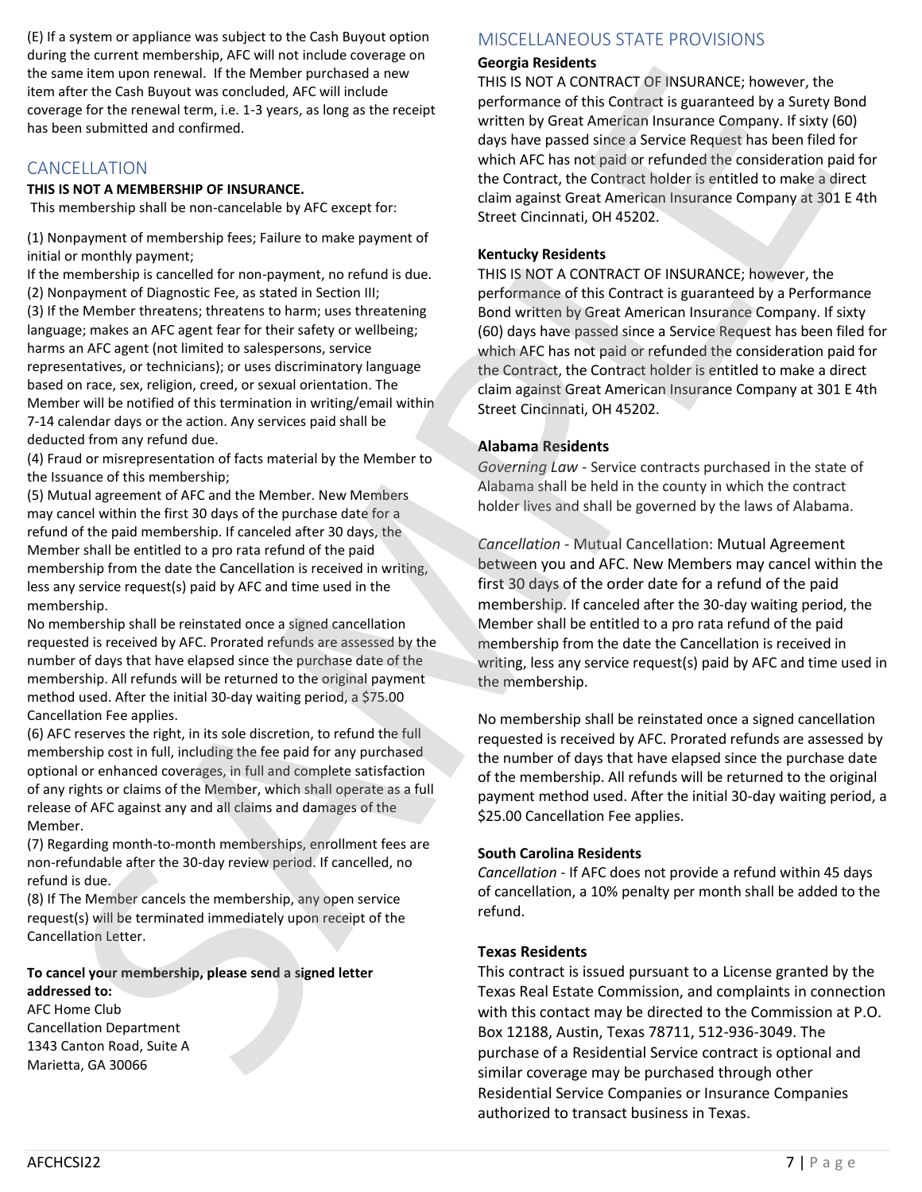(E) If a system or appliance was subject to the Cash Buyout option during the current membership, AFC will not include coverage on the same item upon renewal. If the Member purchased a new item after the Cash Buyout was concluded, AFC will include coverage for the renewal term, i.e. 1-3 years, as long as the receipt has been submitted and confirmed.

# CANCELLATION

#### **THIS IS NOT A MEMBERSHIP OF INSURANCE.**

This membership shall be non-cancelable by AFC except for:

(1) Nonpayment of membership fees; Failure to make payment of initial or monthly payment;

If the membership is cancelled for non-payment, no refund is due. (2) Nonpayment of Diagnostic Fee, as stated in Section III; (3) If the Member threatens; threatens to harm; uses threatening language; makes an AFC agent fear for their safety or wellbeing; harms an AFC agent (not limited to salespersons, service representatives, or technicians); or uses discriminatory language based on race, sex, religion, creed, or sexual orientation. The Member will be notified of this termination in writing/email within 7-14 calendar days or the action. Any services paid shall be deducted from any refund due. me there are of the the there in probability the the material state. We also the same probability interesting in the material state of the Northern Park (Sin Ray Northern Park (Sin Ray Northern Park (Sin Ray Northern Park

(4) Fraud or misrepresentation of facts material by the Member to the Issuance of this membership;

(5) Mutual agreement of AFC and the Member. New Members may cancel within the first 30 days of the purchase date for a refund of the paid membership. If canceled after 30 days, the Member shall be entitled to a pro rata refund of the paid membership from the date the Cancellation is received in writing, less any service request(s) paid by AFC and time used in the membership.

No membership shall be reinstated once a signed cancellation requested is received by AFC. Prorated refunds are assessed by the number of days that have elapsed since the purchase date of the membership. All refunds will be returned to the original payment method used. After the initial 30-day waiting period, a \$75.00 Cancellation Fee applies.

(6) AFC reserves the right, in its sole discretion, to refund the full membership cost in full, including the fee paid for any purchased optional or enhanced coverages, in full and complete satisfaction of any rights or claims of the Member, which shall operate as a full release of AFC against any and all claims and damages of the Member.

(7) Regarding month-to-month memberships, enrollment fees are non-refundable after the 30-day review period. If cancelled, no refund is due.

(8) If The Member cancels the membership, any open service request(s) will be terminated immediately upon receipt of the Cancellation Letter.

#### **To cancel your membership, please send a signed letter addressed to:**

AFC Home Club Cancellation Department 1343 Canton Road, Suite A Marietta, GA 30066

# MISCELLANEOUS STATE PROVISIONS

#### **Georgia Residents**

THIS IS NOT A CONTRACT OF INSURANCE; however, the performance of this Contract is guaranteed by a Surety Bond written by Great American Insurance Company. If sixty (60) days have passed since a Service Request has been filed for which AFC has not paid or refunded the consideration paid for the Contract, the Contract holder is entitled to make a direct claim against Great American Insurance Company at 301 E 4th Street Cincinnati, OH 45202.

#### **Kentucky Residents**

THIS IS NOT A CONTRACT OF INSURANCE; however, the performance of this Contract is guaranteed by a Performance Bond written by Great American Insurance Company. If sixty (60) days have passed since a Service Request has been filed for which AFC has not paid or refunded the consideration paid for the Contract, the Contract holder is entitled to make a direct claim against Great American Insurance Company at 301 E 4th Street Cincinnati, OH 45202.

#### **Alabama Residents**

*Governing Law* - Service contracts purchased in the state of Alabama shall be held in the county in which the contract holder lives and shall be governed by the laws of Alabama.

*Cancellation* - Mutual Cancellation: Mutual Agreement between you and AFC. New Members may cancel within the first 30 days of the order date for a refund of the paid membership. If canceled after the 30-day waiting period, the Member shall be entitled to a pro rata refund of the paid membership from the date the Cancellation is received in writing, less any service request(s) paid by AFC and time used in the membership.

No membership shall be reinstated once a signed cancellation requested is received by AFC. Prorated refunds are assessed by the number of days that have elapsed since the purchase date of the membership. All refunds will be returned to the original payment method used. After the initial 30-day waiting period, a \$25.00 Cancellation Fee applies.

#### **South Carolina Residents**

*Cancellation* - If AFC does not provide a refund within 45 days of cancellation, a 10% penalty per month shall be added to the refund.

#### **Texas Residents**

This contract is issued pursuant to a License granted by the Texas Real Estate Commission, and complaints in connection with this contact may be directed to the Commission at P.O. Box 12188, Austin, Texas 78711, 512-936-3049. The purchase of a Residential Service contract is optional and similar coverage may be purchased through other Residential Service Companies or Insurance Companies authorized to transact business in Texas.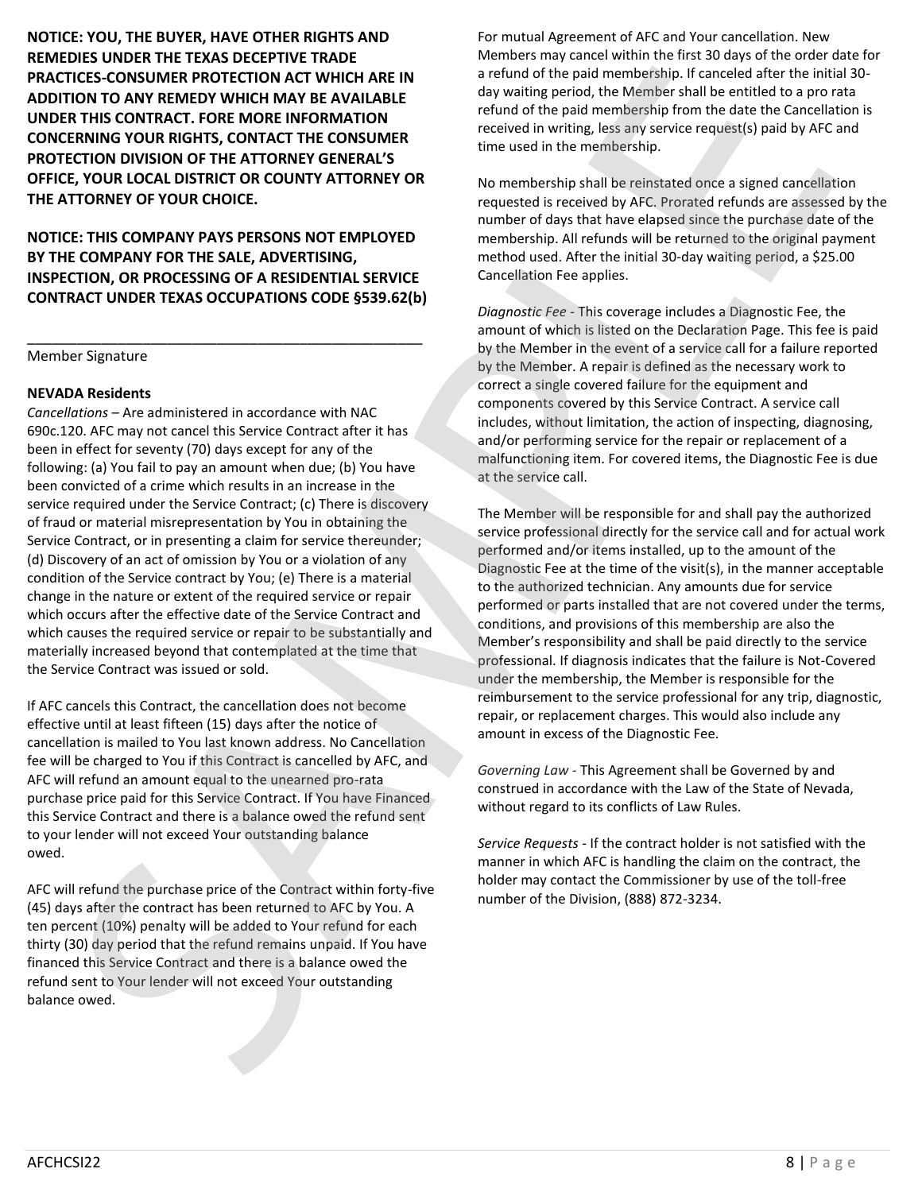**NOTICE: YOU, THE BUYER, HAVE OTHER RIGHTS AND REMEDIES UNDER THE TEXAS DECEPTIVE TRADE PRACTICES-CONSUMER PROTECTION ACT WHICH ARE IN ADDITION TO ANY REMEDY WHICH MAY BE AVAILABLE UNDER THIS CONTRACT. FORE MORE INFORMATION CONCERNING YOUR RIGHTS, CONTACT THE CONSUMER PROTECTION DIVISION OF THE ATTORNEY GENERAL'S OFFICE, YOUR LOCAL DISTRICT OR COUNTY ATTORNEY OR THE ATTORNEY OF YOUR CHOICE.**

**NOTICE: THIS COMPANY PAYS PERSONS NOT EMPLOYED BY THE COMPANY FOR THE SALE, ADVERTISING, INSPECTION, OR PROCESSING OF A RESIDENTIAL SERVICE CONTRACT UNDER TEXAS OCCUPATIONS CODE §539.62(b)**

\_\_\_\_\_\_\_\_\_\_\_\_\_\_\_\_\_\_\_\_\_\_\_\_\_\_\_\_\_\_\_\_\_\_\_\_\_\_\_\_\_\_\_\_\_\_\_\_

Member Signature

#### **NEVADA Residents**

*Cancellations* – Are administered in accordance with NAC 690c.120. AFC may not cancel this Service Contract after it has been in effect for seventy (70) days except for any of the following: (a) You fail to pay an amount when due; (b) You have been convicted of a crime which results in an increase in the service required under the Service Contract; (c) There is discovery of fraud or material misrepresentation by You in obtaining the Service Contract, or in presenting a claim for service thereunder; (d) Discovery of an act of omission by You or a violation of any condition of the Service contract by You; (e) There is a material change in the nature or extent of the required service or repair which occurs after the effective date of the Service Contract and which causes the required service or repair to be substantially and materially increased beyond that contemplated at the time that the Service Contract was issued or sold. **PRACTICS (TO SUPPRISH PAYER INTERFERICANT ASSEMBATION A CONSULTRAT SUPPRISH PAYENTIFIC CONSULTRAT (NOTE THIS CONTRACT THIS CONTRACT CONTRACT CONTRACT CONTRACT CONTRACT CONTRACT CONTRACT CONTRACT CONTRACT CONTRACT CONTRAC** IFICE CONSUMER ROTETICON ACT UNITS ARE TIN a received of the pair of the statistical statistics of the consult of the statistics of the statistics of the statistics of the statistics of the statistics of the statistics of

If AFC cancels this Contract, the cancellation does not become effective until at least fifteen (15) days after the notice of cancellation is mailed to You last known address. No Cancellation fee will be charged to You if this Contract is cancelled by AFC, and AFC will refund an amount equal to the unearned pro-rata purchase price paid for this Service Contract. If You have Financed this Service Contract and there is a balance owed the refund sent to your lender will not exceed Your outstanding balance owed.

AFC will refund the purchase price of the Contract within forty-five (45) days after the contract has been returned to AFC by You. A ten percent (10%) penalty will be added to Your refund for each thirty (30) day period that the refund remains unpaid. If You have financed this Service Contract and there is a balance owed the refund sent to Your lender will not exceed Your outstanding balance owed.

For mutual Agreement of AFC and Your cancellation. New Members may cancel within the first 30 days of the order date for a refund of the paid membership. If canceled after the initial 30 day waiting period, the Member shall be entitled to a pro rata refund of the paid membership from the date the Cancellation is received in writing, less any service request(s) paid by AFC and time used in the membership.

No membership shall be reinstated once a signed cancellation requested is received by AFC. Prorated refunds are assessed by the number of days that have elapsed since the purchase date of the membership. All refunds will be returned to the original payment method used. After the initial 30-day waiting period, a \$25.00 Cancellation Fee applies.

*Diagnostic Fee* - This coverage includes a Diagnostic Fee, the amount of which is listed on the Declaration Page. This fee is paid by the Member in the event of a service call for a failure reported by the Member. A repair is defined as the necessary work to correct a single covered failure for the equipment and components covered by this Service Contract. A service call includes, without limitation, the action of inspecting, diagnosing, and/or performing service for the repair or replacement of a malfunctioning item. For covered items, the Diagnostic Fee is due at the service call.

The Member will be responsible for and shall pay the authorized service professional directly for the service call and for actual work performed and/or items installed, up to the amount of the Diagnostic Fee at the time of the visit(s), in the manner acceptable to the authorized technician. Any amounts due for service performed or parts installed that are not covered under the terms, conditions, and provisions of this membership are also the Member's responsibility and shall be paid directly to the service professional. If diagnosis indicates that the failure is Not-Covered under the membership, the Member is responsible for the reimbursement to the service professional for any trip, diagnostic, repair, or replacement charges. This would also include any amount in excess of the Diagnostic Fee.

*Governing Law* - This Agreement shall be Governed by and construed in accordance with the Law of the State of Nevada, without regard to its conflicts of Law Rules.

*Service Requests* - If the contract holder is not satisfied with the manner in which AFC is handling the claim on the contract, the holder may contact the Commissioner by use of the toll-free